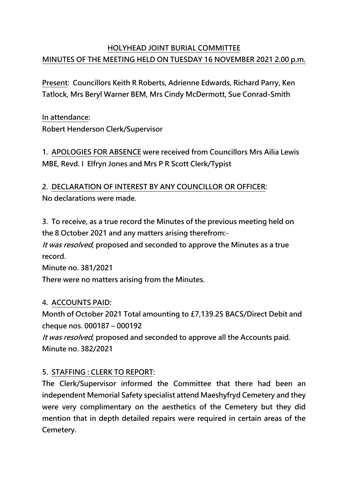## **HOLYHEAD JOINT BURIAL COMMITTEE MINUTES OF THE MEETING HELD ON TUESDAY 16 NOVEMBER 2021 2.00 p.m.**

**Present: Councillors Keith R Roberts, Adrienne Edwards, Richard Parry, Ken Tatlock, Mrs Beryl Warner BEM, Mrs Cindy McDermott, Sue Conrad-Smith**

**In attendance: Robert Henderson Clerk/Supervisor**

**1. APOLOGIES FOR ABSENCE were received from Councillors Mrs Ailia Lewis MBE, Revd. I Elfryn Jones and Mrs P R Scott Clerk/Typist**

# **2. DECLARATION OF INTEREST BY ANY COUNCILLOR OR OFFICER:**

**No declarations were made.**

**3. To receive, as a true record the Minutes of the previous meeting held on the 8 October 2021 and any matters arising therefrom:-**

**It was resolved, proposed and seconded to approve the Minutes as a true record.**

**Minute no. 381/2021**

**There were no matters arising from the Minutes.**

### **4. ACCOUNTS PAID:**

**Month of October 2021 Total amounting to £7,139.25 BACS/Direct Debit and cheque nos. 000187 – 000192**

**It was resolved, proposed and seconded to approve all the Accounts paid. Minute no. 382/2021**

### **5. STAFFING : CLERK TO REPORT:**

**The Clerk/Supervisor informed the Committee that there had been an independent Memorial Safety specialist attend Maeshyfryd Cemetery and they were very complimentary on the aesthetics of the Cemetery but they did mention that in depth detailed repairs were required in certain areas of the Cemetery.**